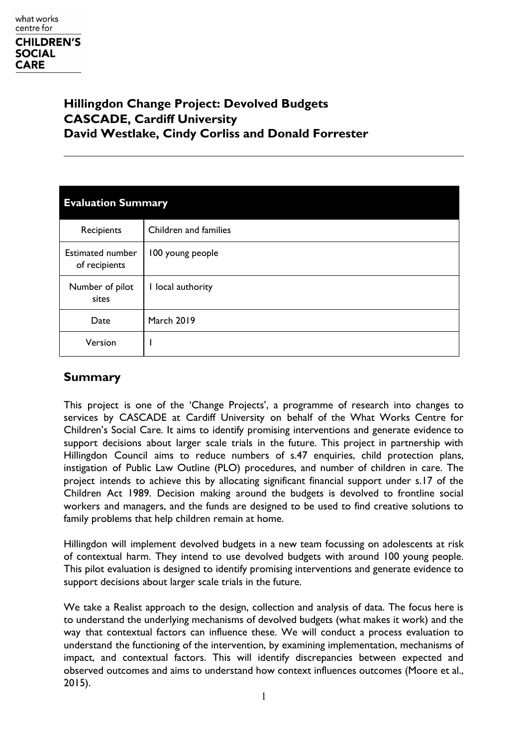# **Hillingdon Change Project: Devolved Budgets CASCADE, Cardiff University David Westlake, Cindy Corliss and Donald Forrester**

| <b>Evaluation Summary</b>                |                       |  |
|------------------------------------------|-----------------------|--|
| Recipients                               | Children and families |  |
| <b>Estimated number</b><br>of recipients | 100 young people      |  |
| Number of pilot<br>sites                 | I local authority     |  |
| Date                                     | <b>March 2019</b>     |  |
| Version                                  |                       |  |

# **Summary**

This project is one of the 'Change Projects', a programme of research into changes to services by CASCADE at Cardiff University on behalf of the What Works Centre for Children's Social Care. It aims to identify promising interventions and generate evidence to support decisions about larger scale trials in the future. This project in partnership with Hillingdon Council aims to reduce numbers of s.47 enquiries, child protection plans, instigation of Public Law Outline (PLO) procedures, and number of children in care. The project intends to achieve this by allocating significant financial support under s.17 of the Children Act 1989. Decision making around the budgets is devolved to frontline social workers and managers, and the funds are designed to be used to find creative solutions to family problems that help children remain at home.

Hillingdon will implement devolved budgets in a new team focussing on adolescents at risk of contextual harm. They intend to use devolved budgets with around 100 young people. This pilot evaluation is designed to identify promising interventions and generate evidence to support decisions about larger scale trials in the future.

We take a Realist approach to the design, collection and analysis of data. The focus here is to understand the underlying mechanisms of devolved budgets (what makes it work) and the way that contextual factors can influence these. We will conduct a process evaluation to understand the functioning of the intervention, by examining implementation, mechanisms of impact, and contextual factors. This will identify discrepancies between expected and observed outcomes and aims to understand how context influences outcomes (Moore et al., 2015).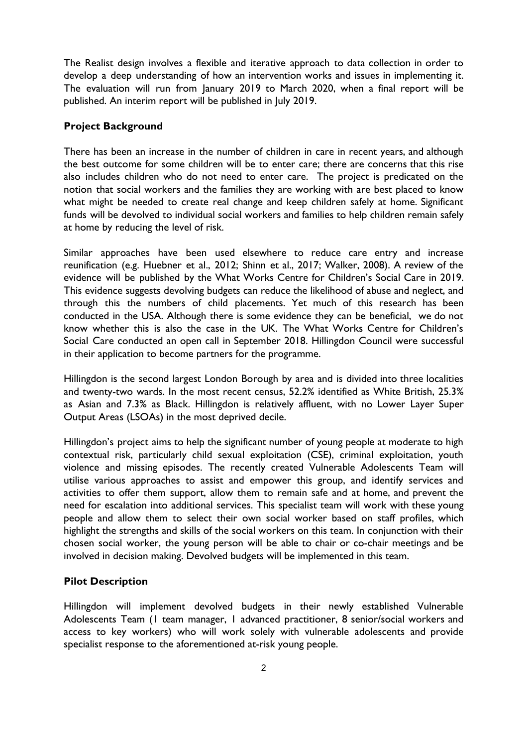The Realist design involves a flexible and iterative approach to data collection in order to develop a deep understanding of how an intervention works and issues in implementing it. The evaluation will run from January 2019 to March 2020, when a final report will be published. An interim report will be published in July 2019.

#### **Project Background**

There has been an increase in the number of children in care in recent years, and although the best outcome for some children will be to enter care; there are concerns that this rise also includes children who do not need to enter care. The project is predicated on the notion that social workers and the families they are working with are best placed to know what might be needed to create real change and keep children safely at home. Significant funds will be devolved to individual social workers and families to help children remain safely at home by reducing the level of risk.

Similar approaches have been used elsewhere to reduce care entry and increase reunification (e.g. Huebner et al., 2012; Shinn et al., 2017; Walker, 2008). A review of the evidence will be published by the What Works Centre for Children's Social Care in 2019. This evidence suggests devolving budgets can reduce the likelihood of abuse and neglect, and through this the numbers of child placements. Yet much of this research has been conducted in the USA. Although there is some evidence they can be beneficial, we do not know whether this is also the case in the UK. The What Works Centre for Children's Social Care conducted an open call in September 2018. Hillingdon Council were successful in their application to become partners for the programme.

Hillingdon is the second largest London Borough by area and is divided into three localities and twenty-two wards. In the most recent census, 52.2% identified as White British, 25.3% as Asian and 7.3% as Black. Hillingdon is relatively affluent, with no Lower Layer Super Output Areas (LSOAs) in the most deprived decile.

Hillingdon's project aims to help the significant number of young people at moderate to high contextual risk, particularly child sexual exploitation (CSE), criminal exploitation, youth violence and missing episodes. The recently created Vulnerable Adolescents Team will utilise various approaches to assist and empower this group, and identify services and activities to offer them support, allow them to remain safe and at home, and prevent the need for escalation into additional services. This specialist team will work with these young people and allow them to select their own social worker based on staff profiles, which highlight the strengths and skills of the social workers on this team. In conjunction with their chosen social worker, the young person will be able to chair or co-chair meetings and be involved in decision making. Devolved budgets will be implemented in this team.

#### **Pilot Description**

Hillingdon will implement devolved budgets in their newly established Vulnerable Adolescents Team (1 team manager, 1 advanced practitioner, 8 senior/social workers and access to key workers) who will work solely with vulnerable adolescents and provide specialist response to the aforementioned at-risk young people.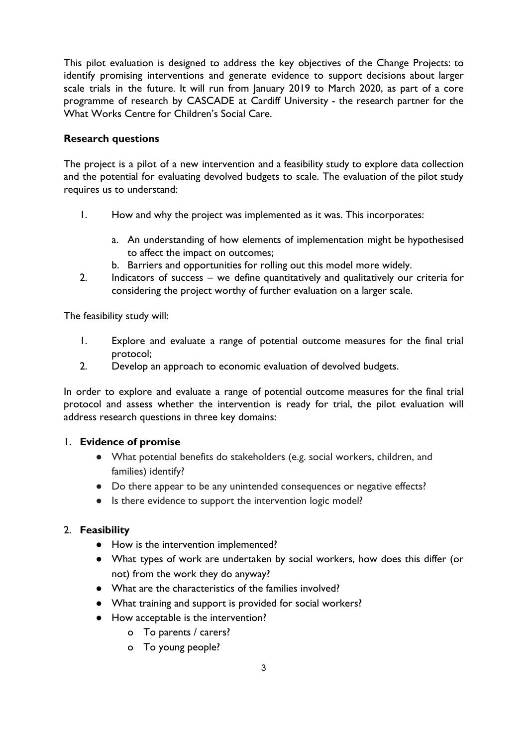This pilot evaluation is designed to address the key objectives of the Change Projects: to identify promising interventions and generate evidence to support decisions about larger scale trials in the future. It will run from January 2019 to March 2020, as part of a core programme of research by CASCADE at Cardiff University - the research partner for the What Works Centre for Children's Social Care.

### **Research questions**

The project is a pilot of a new intervention and a feasibility study to explore data collection and the potential for evaluating devolved budgets to scale. The evaluation of the pilot study requires us to understand:

- 1. How and why the project was implemented as it was. This incorporates:
	- a. An understanding of how elements of implementation might be hypothesised to affect the impact on outcomes;
	- b. Barriers and opportunities for rolling out this model more widely.
- 2. Indicators of success we define quantitatively and qualitatively our criteria for considering the project worthy of further evaluation on a larger scale.

The feasibility study will:

- 1. Explore and evaluate a range of potential outcome measures for the final trial protocol;
- 2. Develop an approach to economic evaluation of devolved budgets.

In order to explore and evaluate a range of potential outcome measures for the final trial protocol and assess whether the intervention is ready for trial, the pilot evaluation will address research questions in three key domains:

#### 1. **Evidence of promise**

- What potential benefits do stakeholders (e.g. social workers, children, and families) identify?
- Do there appear to be any unintended consequences or negative effects?
- Is there evidence to support the intervention logic model?

### 2. **Feasibility**

- How is the intervention implemented?
- What types of work are undertaken by social workers, how does this differ (or not) from the work they do anyway?
- What are the characteristics of the families involved?
- What training and support is provided for social workers?
- How acceptable is the intervention?
	- o To parents / carers?
	- o To young people?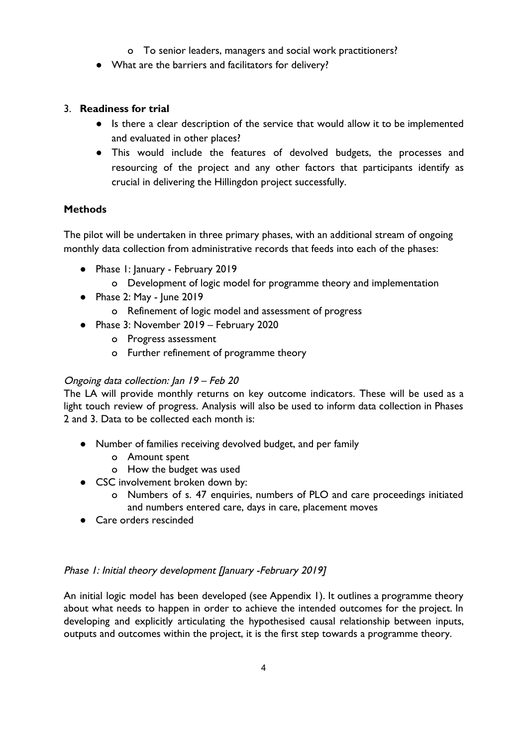- o To senior leaders, managers and social work practitioners?
- What are the barriers and facilitators for delivery?

## 3. **Readiness for trial**

- Is there a clear description of the service that would allow it to be implemented and evaluated in other places?
- This would include the features of devolved budgets, the processes and resourcing of the project and any other factors that participants identify as crucial in delivering the Hillingdon project successfully.

## **Methods**

The pilot will be undertaken in three primary phases, with an additional stream of ongoing monthly data collection from administrative records that feeds into each of the phases:

- Phase 1: January February 2019
	- o Development of logic model for programme theory and implementation
- Phase 2: May June 2019
	- o Refinement of logic model and assessment of progress
- Phase 3: November 2019 February 2020
	- o Progress assessment
	- o Further refinement of programme theory

# Ongoing data collection: Jan 19 – Feb 20

The LA will provide monthly returns on key outcome indicators. These will be used as a light touch review of progress. Analysis will also be used to inform data collection in Phases 2 and 3. Data to be collected each month is:

- Number of families receiving devolved budget, and per family
	- o Amount spent
	- o How the budget was used
- CSC involvement broken down by:
	- o Numbers of s. 47 enquiries, numbers of PLO and care proceedings initiated and numbers entered care, days in care, placement moves
- Care orders rescinded

### Phase 1: Initial theory development [January -February 2019]

An initial logic model has been developed (see Appendix 1). It outlines a programme theory about what needs to happen in order to achieve the intended outcomes for the project. In developing and explicitly articulating the hypothesised causal relationship between inputs, outputs and outcomes within the project, it is the first step towards a programme theory.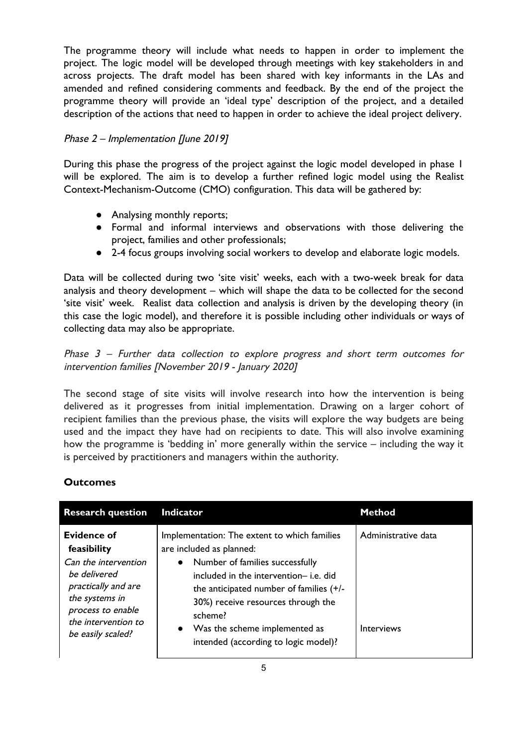The programme theory will include what needs to happen in order to implement the project. The logic model will be developed through meetings with key stakeholders in and across projects. The draft model has been shared with key informants in the LAs and amended and refined considering comments and feedback. By the end of the project the programme theory will provide an 'ideal type' description of the project, and a detailed description of the actions that need to happen in order to achieve the ideal project delivery.

## Phase 2 – Implementation [June 2019]

During this phase the progress of the project against the logic model developed in phase 1 will be explored. The aim is to develop a further refined logic model using the Realist Context-Mechanism-Outcome (CMO) configuration. This data will be gathered by:

- Analysing monthly reports;
- Formal and informal interviews and observations with those delivering the project, families and other professionals;
- 2-4 focus groups involving social workers to develop and elaborate logic models.

Data will be collected during two 'site visit' weeks, each with a two-week break for data analysis and theory development – which will shape the data to be collected for the second 'site visit' week. Realist data collection and analysis is driven by the developing theory (in this case the logic model), and therefore it is possible including other individuals or ways of collecting data may also be appropriate.

Phase 3 – Further data collection to explore progress and short term outcomes for intervention families [November 2019 - January 2020]

The second stage of site visits will involve research into how the intervention is being delivered as it progresses from initial implementation. Drawing on a larger cohort of recipient families than the previous phase, the visits will explore the way budgets are being used and the impact they have had on recipients to date. This will also involve examining how the programme is 'bedding in' more generally within the service – including the way it is perceived by practitioners and managers within the authority.

### **Outcomes**

| <b>Research question</b>                                                                                                                                                     | <b>Indicator</b>                                                                                                                                                                                                                                                                                                                                     | Method                                   |
|------------------------------------------------------------------------------------------------------------------------------------------------------------------------------|------------------------------------------------------------------------------------------------------------------------------------------------------------------------------------------------------------------------------------------------------------------------------------------------------------------------------------------------------|------------------------------------------|
| Evidence of<br>feasibility<br>Can the intervention<br>be delivered<br>practically and are<br>the systems in<br>process to enable<br>the intervention to<br>be easily scaled? | Implementation: The extent to which families<br>are included as planned:<br>Number of families successfully<br>$\bullet$<br>included in the intervention- i.e. did<br>the anticipated number of families (+/-<br>30%) receive resources through the<br>scheme?<br>Was the scheme implemented as<br>$\bullet$<br>intended (according to logic model)? | Administrative data<br><b>Interviews</b> |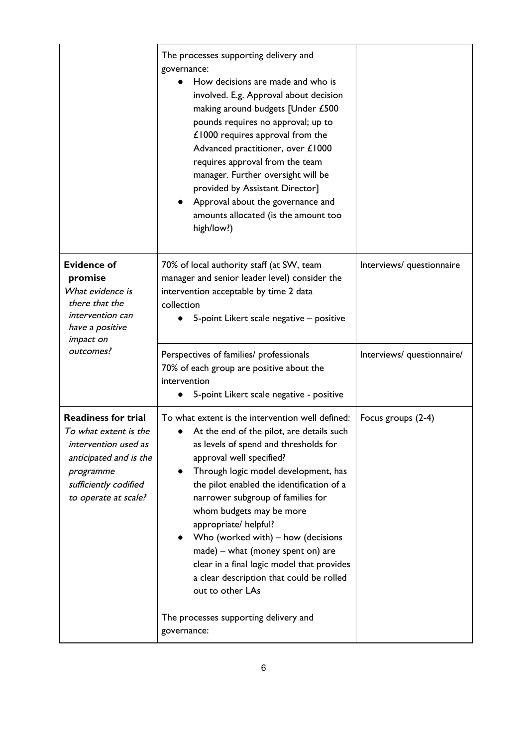|                                                                                                                                                                     | The processes supporting delivery and<br>governance:<br>How decisions are made and who is<br>involved. E.g. Approval about decision<br>making around budgets [Under £500<br>pounds requires no approval; up to<br>£1000 requires approval from the<br>Advanced practitioner, over £1000<br>requires approval from the team<br>manager. Further oversight will be<br>provided by Assistant Director]<br>Approval about the governance and<br>amounts allocated (is the amount too<br>high/low?)                                               |                            |
|---------------------------------------------------------------------------------------------------------------------------------------------------------------------|----------------------------------------------------------------------------------------------------------------------------------------------------------------------------------------------------------------------------------------------------------------------------------------------------------------------------------------------------------------------------------------------------------------------------------------------------------------------------------------------------------------------------------------------|----------------------------|
| <b>Evidence of</b><br>promise<br>What evidence is<br>there that the<br>intervention can<br>have a positive<br><i>impact on</i>                                      | 70% of local authority staff (at SW, team<br>manager and senior leader level) consider the<br>intervention acceptable by time 2 data<br>collection<br>5-point Likert scale negative - positive                                                                                                                                                                                                                                                                                                                                               | Interviews/ questionnaire  |
| outcomes?                                                                                                                                                           | Perspectives of families/ professionals<br>70% of each group are positive about the<br>intervention<br>5-point Likert scale negative - positive                                                                                                                                                                                                                                                                                                                                                                                              | Interviews/ questionnaire/ |
| <b>Readiness for trial</b><br>To what extent is the<br>intervention used as<br>anticipated and is the<br>programme<br>sufficiently codified<br>to operate at scale? | To what extent is the intervention well defined:<br>At the end of the pilot, are details such<br>as levels of spend and thresholds for<br>approval well specified?<br>Through logic model development, has<br>the pilot enabled the identification of a<br>narrower subgroup of families for<br>whom budgets may be more<br>appropriate/ helpful?<br>Who (worked with) $-$ how (decisions<br>made) - what (money spent on) are<br>clear in a final logic model that provides<br>a clear description that could be rolled<br>out to other LAs | Focus groups (2-4)         |
|                                                                                                                                                                     | The processes supporting delivery and<br>governance:                                                                                                                                                                                                                                                                                                                                                                                                                                                                                         |                            |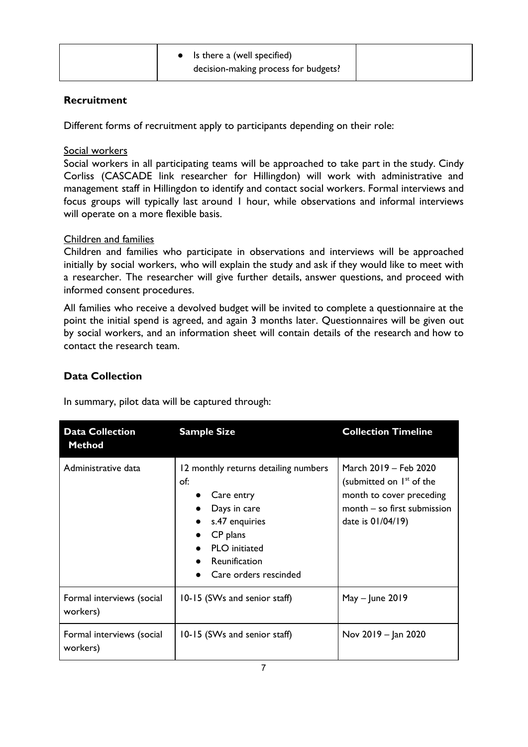### **Recruitment**

Different forms of recruitment apply to participants depending on their role:

#### Social workers

Social workers in all participating teams will be approached to take part in the study. Cindy Corliss (CASCADE link researcher for Hillingdon) will work with administrative and management staff in Hillingdon to identify and contact social workers. Formal interviews and focus groups will typically last around 1 hour, while observations and informal interviews will operate on a more flexible basis.

### Children and families

Children and families who participate in observations and interviews will be approached initially by social workers, who will explain the study and ask if they would like to meet with a researcher. The researcher will give further details, answer questions, and proceed with informed consent procedures.

All families who receive a devolved budget will be invited to complete a questionnaire at the point the initial spend is agreed, and again 3 months later. Questionnaires will be given out by social workers, and an information sheet will contain details of the research and how to contact the research team.

### **Data Collection**

In summary, pilot data will be captured through:

| <b>Data Collection</b><br><b>Method</b> | <b>Sample Size</b>                                                                                                                                                        | <b>Collection Timeline</b>                                                                                                                    |
|-----------------------------------------|---------------------------------------------------------------------------------------------------------------------------------------------------------------------------|-----------------------------------------------------------------------------------------------------------------------------------------------|
| Administrative data                     | 12 monthly returns detailing numbers<br>of:<br>Care entry<br>Days in care<br>s.47 enquiries<br>CP plans<br><b>PLO</b> initiated<br>Reunification<br>Care orders rescinded | March 2019 - Feb 2020<br>(submitted on 1 <sup>st</sup> of the<br>month to cover preceding<br>month - so first submission<br>date is 01/04/19) |
| Formal interviews (social<br>workers)   | 10-15 (SWs and senior staff)                                                                                                                                              | $May - June 2019$                                                                                                                             |
| Formal interviews (social<br>workers)   | 10-15 (SWs and senior staff)                                                                                                                                              | Nov 2019 - Jan 2020                                                                                                                           |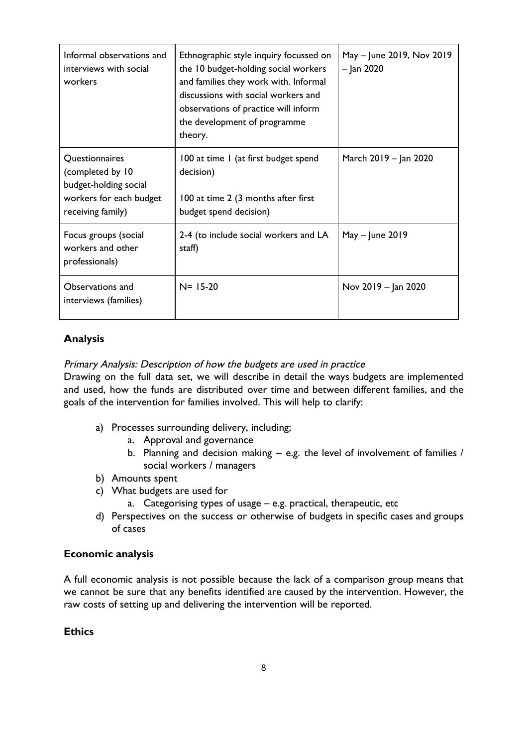| Informal observations and<br>interviews with social<br>workers                                              | Ethnographic style inquiry focussed on<br>the 10 budget-holding social workers<br>and families they work with. Informal<br>discussions with social workers and<br>observations of practice will inform<br>the development of programme<br>theory. | May - June 2019, Nov 2019<br>$-$ Jan 2020 |
|-------------------------------------------------------------------------------------------------------------|---------------------------------------------------------------------------------------------------------------------------------------------------------------------------------------------------------------------------------------------------|-------------------------------------------|
| Questionnaires<br>(completed by 10<br>budget-holding social<br>workers for each budget<br>receiving family) | 100 at time 1 (at first budget spend<br>decision)<br>100 at time 2 (3 months after first<br>budget spend decision)                                                                                                                                | March 2019 – Jan 2020                     |
| Focus groups (social<br>workers and other<br>professionals)                                                 | 2-4 (to include social workers and LA<br>staff)                                                                                                                                                                                                   | $May - June 2019$                         |
| Observations and<br>interviews (families)                                                                   | $N = 15 - 20$                                                                                                                                                                                                                                     | Nov 2019 - Jan 2020                       |

## **Analysis**

### Primary Analysis: Description of how the budgets are used in practice

Drawing on the full data set, we will describe in detail the ways budgets are implemented and used, how the funds are distributed over time and between different families, and the goals of the intervention for families involved. This will help to clarify:

- a) Processes surrounding delivery, including;
	- a. Approval and governance
	- b. Planning and decision making e.g. the level of involvement of families / social workers / managers
- b) Amounts spent
- c) What budgets are used for
	- a. Categorising types of usage e.g. practical, therapeutic, etc
- d) Perspectives on the success or otherwise of budgets in specific cases and groups of cases

### **Economic analysis**

A full economic analysis is not possible because the lack of a comparison group means that we cannot be sure that any benefits identified are caused by the intervention. However, the raw costs of setting up and delivering the intervention will be reported.

### **Ethics**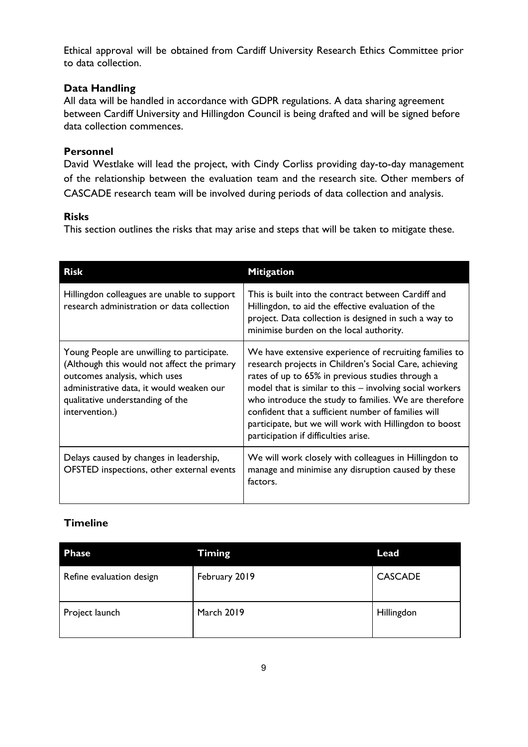Ethical approval will be obtained from Cardiff University Research Ethics Committee prior to data collection.

#### **Data Handling**

All data will be handled in accordance with GDPR regulations. A data sharing agreement between Cardiff University and Hillingdon Council is being drafted and will be signed before data collection commences.

#### **Personnel**

David Westlake will lead the project, with Cindy Corliss providing day-to-day management of the relationship between the evaluation team and the research site. Other members of CASCADE research team will be involved during periods of data collection and analysis.

#### **Risks**

This section outlines the risks that may arise and steps that will be taken to mitigate these.

| <b>Risk</b>                                                                                                                                                                                                                  | <b>Mitigation</b>                                                                                                                                                                                                                                                                                                                                                                                                                                  |
|------------------------------------------------------------------------------------------------------------------------------------------------------------------------------------------------------------------------------|----------------------------------------------------------------------------------------------------------------------------------------------------------------------------------------------------------------------------------------------------------------------------------------------------------------------------------------------------------------------------------------------------------------------------------------------------|
| Hillingdon colleagues are unable to support<br>research administration or data collection                                                                                                                                    | This is built into the contract between Cardiff and<br>Hillingdon, to aid the effective evaluation of the<br>project. Data collection is designed in such a way to<br>minimise burden on the local authority.                                                                                                                                                                                                                                      |
| Young People are unwilling to participate.<br>(Although this would not affect the primary<br>outcomes analysis, which uses<br>administrative data, it would weaken our<br>qualitative understanding of the<br>intervention.) | We have extensive experience of recruiting families to<br>research projects in Children's Social Care, achieving<br>rates of up to 65% in previous studies through a<br>model that is similar to this - involving social workers<br>who introduce the study to families. We are therefore<br>confident that a sufficient number of families will<br>participate, but we will work with Hillingdon to boost<br>participation if difficulties arise. |
| Delays caused by changes in leadership,<br>OFSTED inspections, other external events                                                                                                                                         | We will work closely with colleagues in Hillingdon to<br>manage and minimise any disruption caused by these<br>factors.                                                                                                                                                                                                                                                                                                                            |

# **Timeline**

| <b>Phase</b>             | <b>Timing</b>     | Lead           |
|--------------------------|-------------------|----------------|
| Refine evaluation design | February 2019     | <b>CASCADE</b> |
| Project launch           | <b>March 2019</b> | Hillingdon     |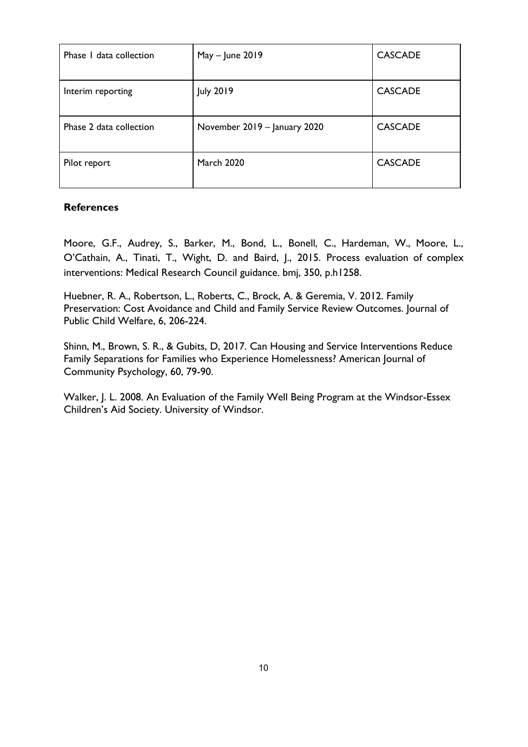| Phase I data collection | $May - June 2019$            | <b>CASCADE</b> |
|-------------------------|------------------------------|----------------|
| Interim reporting       | <b>July 2019</b>             | <b>CASCADE</b> |
| Phase 2 data collection | November 2019 - January 2020 | <b>CASCADE</b> |
| Pilot report            | <b>March 2020</b>            | <b>CASCADE</b> |

### **References**

Moore, G.F., Audrey, S., Barker, M., Bond, L., Bonell, C., Hardeman, W., Moore, L., O'Cathain, A., Tinati, T., Wight, D. and Baird, J., 2015. Process evaluation of complex interventions: Medical Research Council guidance. bmj, 350, p.h1258.

Huebner, R. A., Robertson, L., Roberts, C., Brock, A. & Geremia, V. 2012. Family Preservation: Cost Avoidance and Child and Family Service Review Outcomes. Journal of Public Child Welfare, 6, 206-224.

Shinn, M., Brown, S. R., & Gubits, D, 2017. Can Housing and Service Interventions Reduce Family Separations for Families who Experience Homelessness? American Journal of Community Psychology, 60, 79-90.

Walker, J. L. 2008. An Evaluation of the Family Well Being Program at the Windsor-Essex Children's Aid Society. University of Windsor.